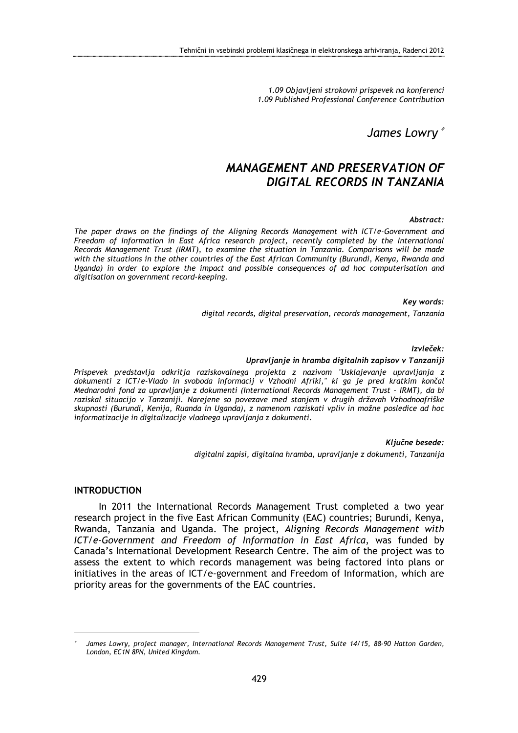1.09 Objavljeni strokovni prispevek na konferenci 1.09 Published Professional Conference Contribution

James Lowry <sup>∗</sup>

# MANAGEMENT AND PRESERVATION OF DIGITAL RECORDS IN TANZANIA

#### Abstract:

The paper draws on the findings of the Aligning Records Management with ICT/e-Government and Freedom of Information in East Africa research project, recently completed by the International Records Management Trust (IRMT), to examine the situation in Tanzania. Comparisons will be made with the situations in the other countries of the East African Community (Burundi, Kenya, Rwanda and Uganda) in order to explore the impact and possible consequences of ad hoc computerisation and digitisation on government record-keeping.

> Key words: digital records, digital preservation, records management, Tanzania

> > Izvleček:

#### Upravljanje in hramba digitalnih zapisov v Tanzaniji

Prispevek predstavlja odkritja raziskovalnega projekta z nazivom "Usklajevanje upravljanja z dokumenti z ICT/e-Vlado in svoboda informacij v Vzhodni Afriki," ki ga je pred kratkim končal Mednarodni fond za upravljanje z dokumenti (International Records Management Trust – IRMT), da bi raziskal situacijo v Tanzaniji. Narejene so povezave med stanjem v drugih državah Vzhodnoafriške skupnosti (Burundi, Kenija, Ruanda in Uganda), z namenom raziskati vpliv in možne posledice ad hoc informatizacije in digitalizacije vladnega upravljanja z dokumenti.

> Ključne besede: digitalni zapisi, digitalna hramba, upravljanje z dokumenti, Tanzanija

#### INTRODUCTION

 $\overline{a}$ 

In 2011 the International Records Management Trust completed a two year research project in the five East African Community (EAC) countries; Burundi, Kenya, Rwanda, Tanzania and Uganda. The project, Aligning Records Management with ICT/e-Government and Freedom of Information in East Africa, was funded by Canada's International Development Research Centre. The aim of the project was to assess the extent to which records management was being factored into plans or initiatives in the areas of ICT/e-government and Freedom of Information, which are priority areas for the governments of the EAC countries.

<sup>∗</sup> James Lowry, project manager, International Records Management Trust, Suite 14/15, 88-90 Hatton Garden, London, EC1N 8PN, United Kingdom.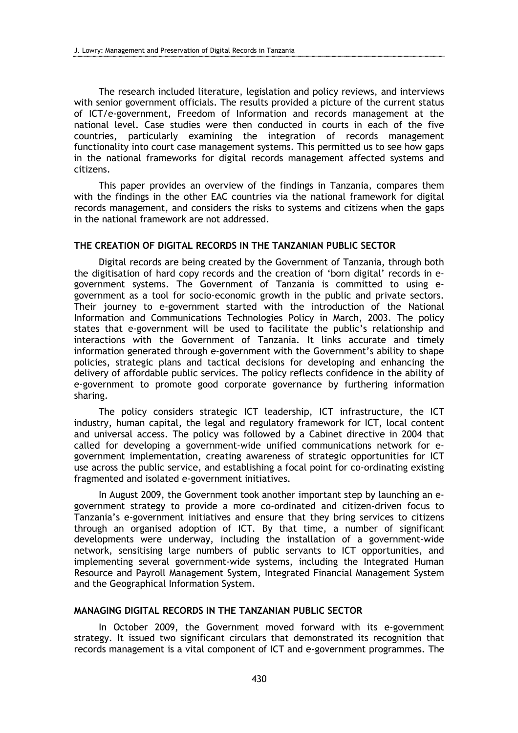The research included literature, legislation and policy reviews, and interviews with senior government officials. The results provided a picture of the current status of ICT/e-government, Freedom of Information and records management at the national level. Case studies were then conducted in courts in each of the five countries, particularly examining the integration of records management functionality into court case management systems. This permitted us to see how gaps in the national frameworks for digital records management affected systems and citizens.

This paper provides an overview of the findings in Tanzania, compares them with the findings in the other EAC countries via the national framework for digital records management, and considers the risks to systems and citizens when the gaps in the national framework are not addressed.

### THE CREATION OF DIGITAL RECORDS IN THE TANZANIAN PUBLIC SECTOR

Digital records are being created by the Government of Tanzania, through both the digitisation of hard copy records and the creation of 'born digital' records in egovernment systems. The Government of Tanzania is committed to using egovernment as a tool for socio-economic growth in the public and private sectors. Their journey to e-government started with the introduction of the National Information and Communications Technologies Policy in March, 2003. The policy states that e-government will be used to facilitate the public's relationship and interactions with the Government of Tanzania. It links accurate and timely information generated through e-government with the Government's ability to shape policies, strategic plans and tactical decisions for developing and enhancing the delivery of affordable public services. The policy reflects confidence in the ability of e-government to promote good corporate governance by furthering information sharing.

The policy considers strategic ICT leadership, ICT infrastructure, the ICT industry, human capital, the legal and regulatory framework for ICT, local content and universal access. The policy was followed by a Cabinet directive in 2004 that called for developing a government-wide unified communications network for egovernment implementation, creating awareness of strategic opportunities for ICT use across the public service, and establishing a focal point for co-ordinating existing fragmented and isolated e-government initiatives.

In August 2009, the Government took another important step by launching an egovernment strategy to provide a more co-ordinated and citizen-driven focus to Tanzania's e-government initiatives and ensure that they bring services to citizens through an organised adoption of ICT. By that time, a number of significant developments were underway, including the installation of a government-wide network, sensitising large numbers of public servants to ICT opportunities, and implementing several government-wide systems, including the Integrated Human Resource and Payroll Management System, Integrated Financial Management System and the Geographical Information System.

# MANAGING DIGITAL RECORDS IN THE TANZANIAN PUBLIC SECTOR

In October 2009, the Government moved forward with its e-government strategy. It issued two significant circulars that demonstrated its recognition that records management is a vital component of ICT and e-government programmes. The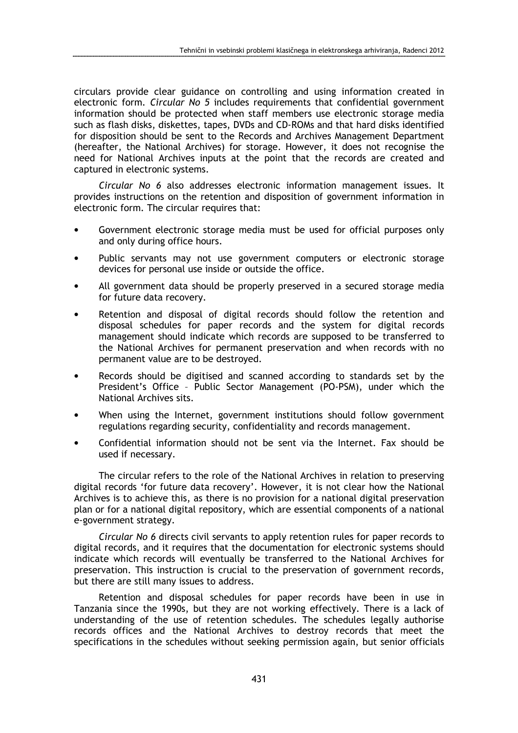circulars provide clear guidance on controlling and using information created in electronic form. *Circular No 5* includes requirements that confidential government information should be protected when staff members use electronic storage media such as flash disks, diskettes, tapes, DVDs and CD-ROMs and that hard disks identified for disposition should be sent to the Records and Archives Management Department (hereafter, the National Archives) for storage. However, it does not recognise the need for National Archives inputs at the point that the records are created and captured in electronic systems.

Circular No 6 also addresses electronic information management issues. It provides instructions on the retention and disposition of government information in electronic form. The circular requires that:

- Government electronic storage media must be used for official purposes only and only during office hours.
- Public servants may not use government computers or electronic storage devices for personal use inside or outside the office.
- All government data should be properly preserved in a secured storage media for future data recovery.
- Retention and disposal of digital records should follow the retention and disposal schedules for paper records and the system for digital records management should indicate which records are supposed to be transferred to the National Archives for permanent preservation and when records with no permanent value are to be destroyed.
- Records should be digitised and scanned according to standards set by the President's Office – Public Sector Management (PO-PSM), under which the National Archives sits.
- When using the Internet, government institutions should follow government regulations regarding security, confidentiality and records management.
- Confidential information should not be sent via the Internet. Fax should be used if necessary.

The circular refers to the role of the National Archives in relation to preserving digital records 'for future data recovery'. However, it is not clear how the National Archives is to achieve this, as there is no provision for a national digital preservation plan or for a national digital repository, which are essential components of a national e-government strategy.

Circular No 6 directs civil servants to apply retention rules for paper records to digital records, and it requires that the documentation for electronic systems should indicate which records will eventually be transferred to the National Archives for preservation. This instruction is crucial to the preservation of government records, but there are still many issues to address.

Retention and disposal schedules for paper records have been in use in Tanzania since the 1990s, but they are not working effectively. There is a lack of understanding of the use of retention schedules. The schedules legally authorise records offices and the National Archives to destroy records that meet the specifications in the schedules without seeking permission again, but senior officials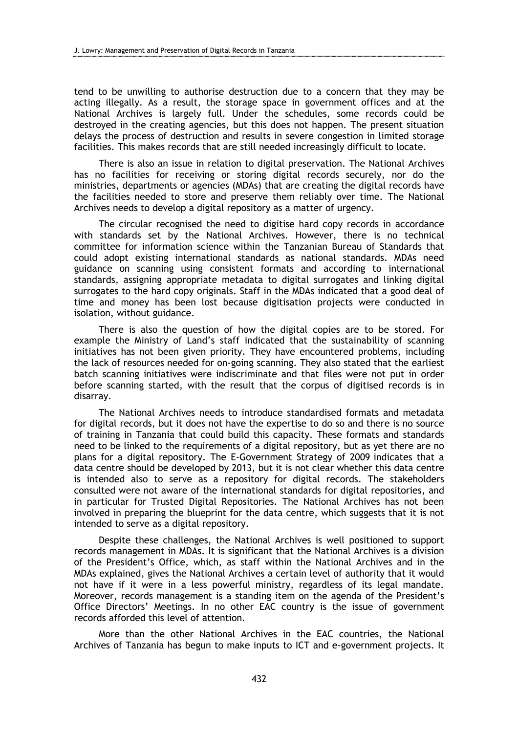tend to be unwilling to authorise destruction due to a concern that they may be acting illegally. As a result, the storage space in government offices and at the National Archives is largely full. Under the schedules, some records could be destroyed in the creating agencies, but this does not happen. The present situation delays the process of destruction and results in severe congestion in limited storage facilities. This makes records that are still needed increasingly difficult to locate.

There is also an issue in relation to digital preservation. The National Archives has no facilities for receiving or storing digital records securely, nor do the ministries, departments or agencies (MDAs) that are creating the digital records have the facilities needed to store and preserve them reliably over time. The National Archives needs to develop a digital repository as a matter of urgency.

The circular recognised the need to digitise hard copy records in accordance with standards set by the National Archives. However, there is no technical committee for information science within the Tanzanian Bureau of Standards that could adopt existing international standards as national standards. MDAs need guidance on scanning using consistent formats and according to international standards, assigning appropriate metadata to digital surrogates and linking digital surrogates to the hard copy originals. Staff in the MDAs indicated that a good deal of time and money has been lost because digitisation projects were conducted in isolation, without guidance.

There is also the question of how the digital copies are to be stored. For example the Ministry of Land's staff indicated that the sustainability of scanning initiatives has not been given priority. They have encountered problems, including the lack of resources needed for on-going scanning. They also stated that the earliest batch scanning initiatives were indiscriminate and that files were not put in order before scanning started, with the result that the corpus of digitised records is in disarray.

The National Archives needs to introduce standardised formats and metadata for digital records, but it does not have the expertise to do so and there is no source of training in Tanzania that could build this capacity. These formats and standards need to be linked to the requirements of a digital repository, but as yet there are no plans for a digital repository. The E-Government Strategy of 2009 indicates that a data centre should be developed by 2013, but it is not clear whether this data centre is intended also to serve as a repository for digital records. The stakeholders consulted were not aware of the international standards for digital repositories, and in particular for Trusted Digital Repositories. The National Archives has not been involved in preparing the blueprint for the data centre, which suggests that it is not intended to serve as a digital repository.

Despite these challenges, the National Archives is well positioned to support records management in MDAs. It is significant that the National Archives is a division of the President's Office, which, as staff within the National Archives and in the MDAs explained, gives the National Archives a certain level of authority that it would not have if it were in a less powerful ministry, regardless of its legal mandate. Moreover, records management is a standing item on the agenda of the President's Office Directors' Meetings. In no other EAC country is the issue of government records afforded this level of attention.

More than the other National Archives in the EAC countries, the National Archives of Tanzania has begun to make inputs to ICT and e-government projects. It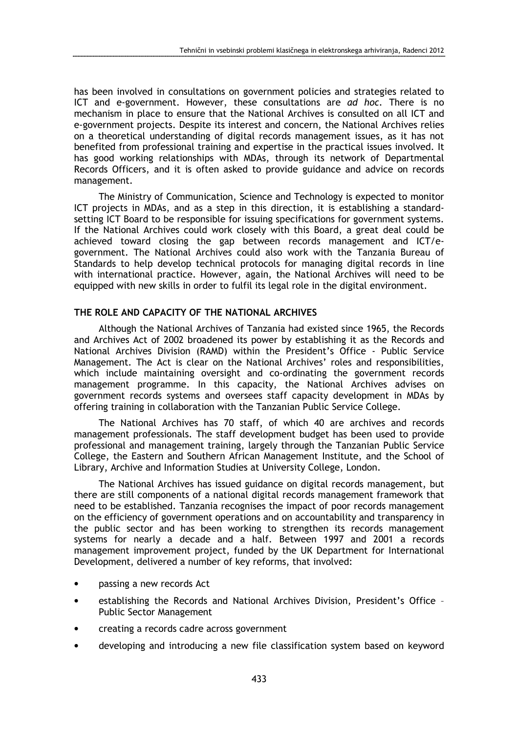has been involved in consultations on government policies and strategies related to ICT and e-government. However, these consultations are ad hoc. There is no mechanism in place to ensure that the National Archives is consulted on all ICT and e-government projects. Despite its interest and concern, the National Archives relies on a theoretical understanding of digital records management issues, as it has not benefited from professional training and expertise in the practical issues involved. It has good working relationships with MDAs, through its network of Departmental Records Officers, and it is often asked to provide guidance and advice on records management.

The Ministry of Communication, Science and Technology is expected to monitor ICT projects in MDAs, and as a step in this direction, it is establishing a standardsetting ICT Board to be responsible for issuing specifications for government systems. If the National Archives could work closely with this Board, a great deal could be achieved toward closing the gap between records management and ICT/egovernment. The National Archives could also work with the Tanzania Bureau of Standards to help develop technical protocols for managing digital records in line with international practice. However, again, the National Archives will need to be equipped with new skills in order to fulfil its legal role in the digital environment.

### THE ROLE AND CAPACITY OF THE NATIONAL ARCHIVES

Although the National Archives of Tanzania had existed since 1965, the Records and Archives Act of 2002 broadened its power by establishing it as the Records and National Archives Division (RAMD) within the President's Office - Public Service Management. The Act is clear on the National Archives' roles and responsibilities, which include maintaining oversight and co-ordinating the government records management programme. In this capacity, the National Archives advises on government records systems and oversees staff capacity development in MDAs by offering training in collaboration with the Tanzanian Public Service College.

The National Archives has 70 staff, of which 40 are archives and records management professionals. The staff development budget has been used to provide professional and management training, largely through the Tanzanian Public Service College, the Eastern and Southern African Management Institute, and the School of Library, Archive and Information Studies at University College, London.

The National Archives has issued guidance on digital records management, but there are still components of a national digital records management framework that need to be established. Tanzania recognises the impact of poor records management on the efficiency of government operations and on accountability and transparency in the public sector and has been working to strengthen its records management systems for nearly a decade and a half. Between 1997 and 2001 a records management improvement project, funded by the UK Department for International Development, delivered a number of key reforms, that involved:

- passing a new records Act
- establishing the Records and National Archives Division, President's Office Public Sector Management
- creating a records cadre across government
- developing and introducing a new file classification system based on keyword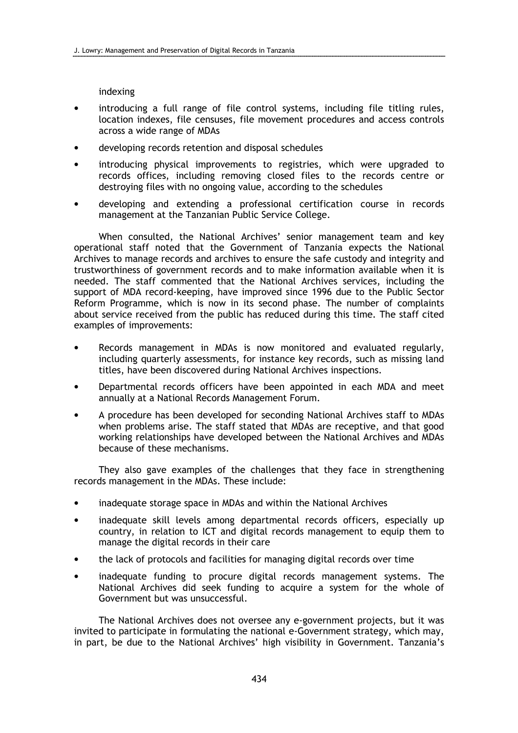indexing

- introducing a full range of file control systems, including file titling rules, location indexes, file censuses, file movement procedures and access controls across a wide range of MDAs
- developing records retention and disposal schedules
- introducing physical improvements to registries, which were upgraded to records offices, including removing closed files to the records centre or destroying files with no ongoing value, according to the schedules
- developing and extending a professional certification course in records management at the Tanzanian Public Service College.

When consulted, the National Archives' senior management team and key operational staff noted that the Government of Tanzania expects the National Archives to manage records and archives to ensure the safe custody and integrity and trustworthiness of government records and to make information available when it is needed. The staff commented that the National Archives services, including the support of MDA record-keeping, have improved since 1996 due to the Public Sector Reform Programme, which is now in its second phase. The number of complaints about service received from the public has reduced during this time. The staff cited examples of improvements:

- Records management in MDAs is now monitored and evaluated regularly, including quarterly assessments, for instance key records, such as missing land titles, have been discovered during National Archives inspections.
- Departmental records officers have been appointed in each MDA and meet annually at a National Records Management Forum.
- A procedure has been developed for seconding National Archives staff to MDAs when problems arise. The staff stated that MDAs are receptive, and that good working relationships have developed between the National Archives and MDAs because of these mechanisms.

They also gave examples of the challenges that they face in strengthening records management in the MDAs. These include:

- inadequate storage space in MDAs and within the National Archives
- inadequate skill levels among departmental records officers, especially up country, in relation to ICT and digital records management to equip them to manage the digital records in their care
- the lack of protocols and facilities for managing digital records over time
- inadequate funding to procure digital records management systems. The National Archives did seek funding to acquire a system for the whole of Government but was unsuccessful.

The National Archives does not oversee any e-government projects, but it was invited to participate in formulating the national e-Government strategy, which may, in part, be due to the National Archives' high visibility in Government. Tanzania's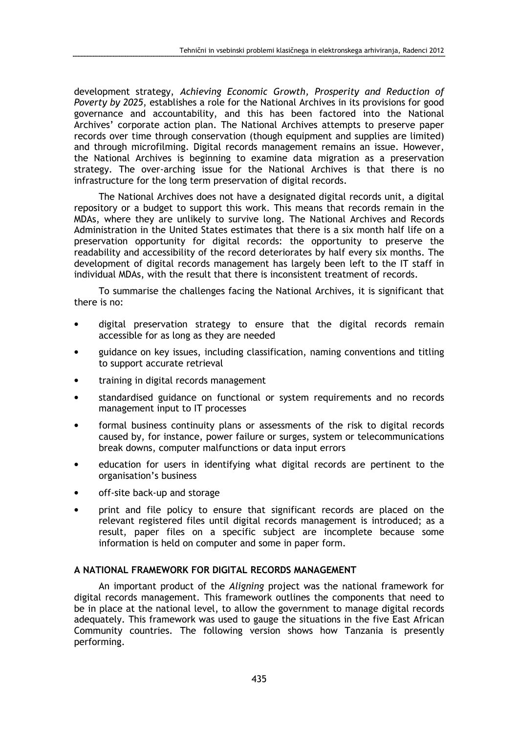development strategy, Achieving Economic Growth, Prosperity and Reduction of Poverty by 2025, establishes a role for the National Archives in its provisions for good governance and accountability, and this has been factored into the National Archives' corporate action plan. The National Archives attempts to preserve paper records over time through conservation (though equipment and supplies are limited) and through microfilming. Digital records management remains an issue. However, the National Archives is beginning to examine data migration as a preservation strategy. The over-arching issue for the National Archives is that there is no infrastructure for the long term preservation of digital records.

The National Archives does not have a designated digital records unit, a digital repository or a budget to support this work. This means that records remain in the MDAs, where they are unlikely to survive long. The National Archives and Records Administration in the United States estimates that there is a six month half life on a preservation opportunity for digital records: the opportunity to preserve the readability and accessibility of the record deteriorates by half every six months. The development of digital records management has largely been left to the IT staff in individual MDAs, with the result that there is inconsistent treatment of records.

To summarise the challenges facing the National Archives, it is significant that there is no:

- digital preservation strategy to ensure that the digital records remain accessible for as long as they are needed
- guidance on key issues, including classification, naming conventions and titling to support accurate retrieval
- training in digital records management
- standardised guidance on functional or system requirements and no records management input to IT processes
- formal business continuity plans or assessments of the risk to digital records caused by, for instance, power failure or surges, system or telecommunications break downs, computer malfunctions or data input errors
- education for users in identifying what digital records are pertinent to the organisation's business
- off-site back-up and storage
- print and file policy to ensure that significant records are placed on the relevant registered files until digital records management is introduced; as a result, paper files on a specific subject are incomplete because some information is held on computer and some in paper form.

#### A NATIONAL FRAMEWORK FOR DIGITAL RECORDS MANAGEMENT

An important product of the Aligning project was the national framework for digital records management. This framework outlines the components that need to be in place at the national level, to allow the government to manage digital records adequately. This framework was used to gauge the situations in the five East African Community countries. The following version shows how Tanzania is presently performing.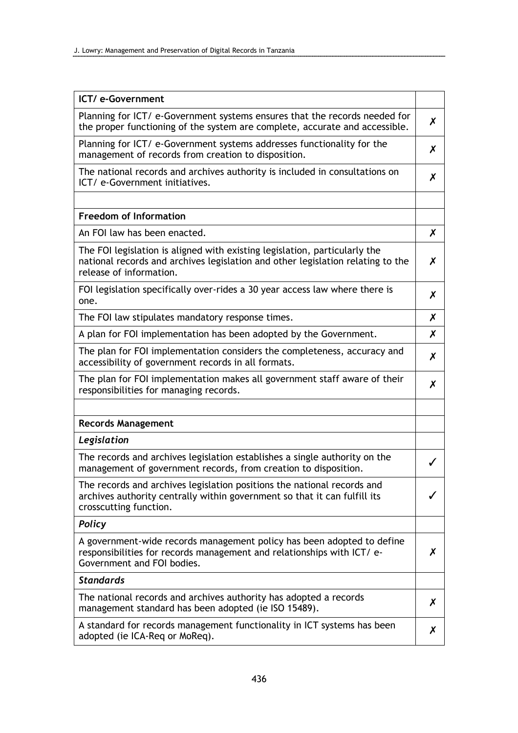| ICT/ e-Government                                                                                                                                                                        |   |
|------------------------------------------------------------------------------------------------------------------------------------------------------------------------------------------|---|
| Planning for ICT/ e-Government systems ensures that the records needed for<br>the proper functioning of the system are complete, accurate and accessible.                                | X |
| Planning for ICT/ e-Government systems addresses functionality for the<br>management of records from creation to disposition.                                                            | X |
| The national records and archives authority is included in consultations on<br>ICT/ e-Government initiatives.                                                                            | X |
|                                                                                                                                                                                          |   |
| <b>Freedom of Information</b>                                                                                                                                                            |   |
| An FOI law has been enacted.                                                                                                                                                             | X |
| The FOI legislation is aligned with existing legislation, particularly the<br>national records and archives legislation and other legislation relating to the<br>release of information. | X |
| FOI legislation specifically over-rides a 30 year access law where there is<br>one.                                                                                                      | X |
| The FOI law stipulates mandatory response times.                                                                                                                                         | X |
| A plan for FOI implementation has been adopted by the Government.                                                                                                                        | Х |
| The plan for FOI implementation considers the completeness, accuracy and<br>accessibility of government records in all formats.                                                          | X |
| The plan for FOI implementation makes all government staff aware of their<br>responsibilities for managing records.                                                                      | Х |
| <b>Records Management</b>                                                                                                                                                                |   |
| Legislation                                                                                                                                                                              |   |
| The records and archives legislation establishes a single authority on the<br>management of government records, from creation to disposition.                                            | ✓ |
| The records and archives legislation positions the national records and<br>archives authority centrally within government so that it can fulfill its<br>crosscutting function.           |   |
| <b>Policy</b>                                                                                                                                                                            |   |
| A government-wide records management policy has been adopted to define<br>responsibilities for records management and relationships with ICT/ e-<br>Government and FOI bodies.           | Х |
| <b>Standards</b>                                                                                                                                                                         |   |
| The national records and archives authority has adopted a records<br>management standard has been adopted (ie ISO 15489).                                                                | X |
| A standard for records management functionality in ICT systems has been<br>adopted (ie ICA-Req or MoReq).                                                                                | X |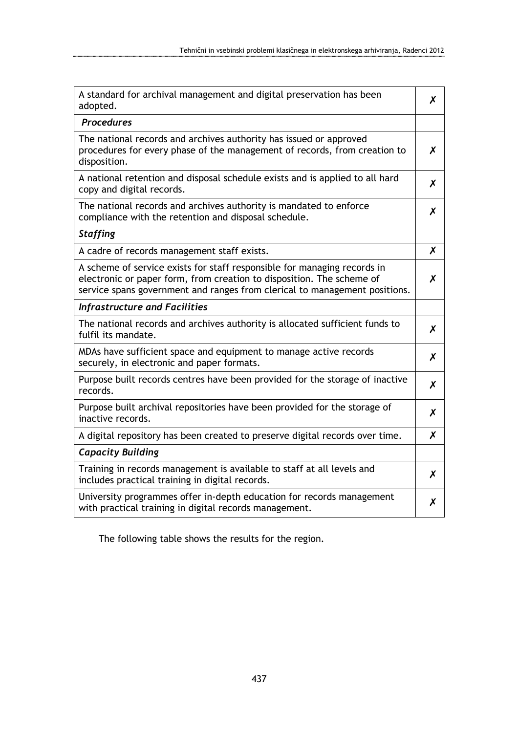| A standard for archival management and digital preservation has been<br>adopted.                                                                                                                                                | X |
|---------------------------------------------------------------------------------------------------------------------------------------------------------------------------------------------------------------------------------|---|
| <b>Procedures</b>                                                                                                                                                                                                               |   |
| The national records and archives authority has issued or approved<br>procedures for every phase of the management of records, from creation to<br>disposition.                                                                 | X |
| A national retention and disposal schedule exists and is applied to all hard<br>copy and digital records.                                                                                                                       | X |
| The national records and archives authority is mandated to enforce<br>compliance with the retention and disposal schedule.                                                                                                      | X |
| <b>Staffing</b>                                                                                                                                                                                                                 |   |
| A cadre of records management staff exists.                                                                                                                                                                                     | X |
| A scheme of service exists for staff responsible for managing records in<br>electronic or paper form, from creation to disposition. The scheme of<br>service spans government and ranges from clerical to management positions. | X |
| <b>Infrastructure and Facilities</b>                                                                                                                                                                                            |   |
| The national records and archives authority is allocated sufficient funds to<br>fulfil its mandate.                                                                                                                             | X |
| MDAs have sufficient space and equipment to manage active records<br>securely, in electronic and paper formats.                                                                                                                 | X |
| Purpose built records centres have been provided for the storage of inactive<br>records.                                                                                                                                        | X |
| Purpose built archival repositories have been provided for the storage of<br>inactive records.                                                                                                                                  | X |
| A digital repository has been created to preserve digital records over time.                                                                                                                                                    | X |
| <b>Capacity Building</b>                                                                                                                                                                                                        |   |
| Training in records management is available to staff at all levels and<br>includes practical training in digital records.                                                                                                       | X |
| University programmes offer in-depth education for records management<br>with practical training in digital records management.                                                                                                 | Х |

The following table shows the results for the region.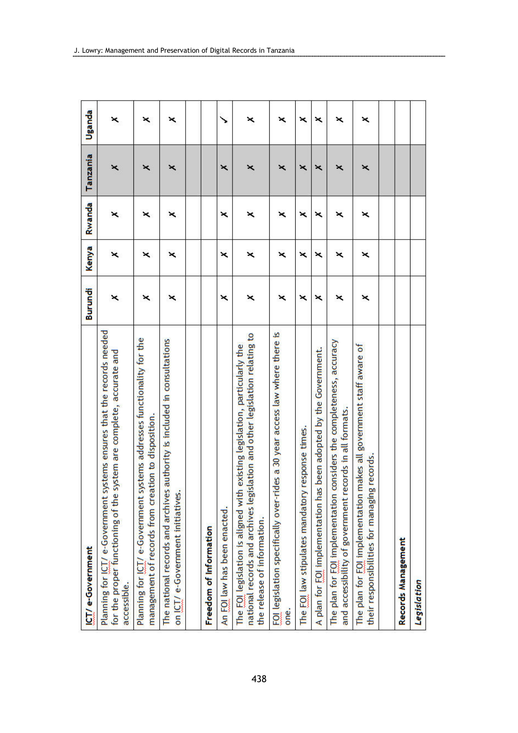| ICT/e-Government                                                                                                                                                                              | Burundi | Kenya | Rwanda | Tanzania | Uganda |
|-----------------------------------------------------------------------------------------------------------------------------------------------------------------------------------------------|---------|-------|--------|----------|--------|
| Planning for ICT/ e-Government systems ensures that the records needed<br>system are complete, accurate and<br>for the proper functioning of the<br>accessible.                               | ×       | ×     | ×      | ×        | ×      |
| Planning for ICT/ e-Government systems addresses functionality for the<br>management of records from creation to disposition.                                                                 | ×       | ×     | ×      | ×        | ×      |
| The national records and archives authority is included in consultations<br>on ICT/e-Government initiatives                                                                                   | ×       | ×     | ×      | ×        | ×      |
|                                                                                                                                                                                               |         |       |        |          |        |
| Freedom of Information                                                                                                                                                                        |         |       |        |          |        |
| An FOI law has been enacted.                                                                                                                                                                  | ×       | ×     | ×      | ×        | ↘      |
| islation and other legislation relating to<br>The FOI legislation is aligned with existing legislation, particularly the<br>national records and archives legi<br>the release of information. | ×       | ×     | ×      | ×        | ×      |
| FOI legislation specifically over-rides a 30 year access law where there is<br>one.                                                                                                           | ×       | ×     | ×      | ×        | ×      |
| The FOI law stipulates mandatory response times.                                                                                                                                              | ×       | ×     | ×      | ×        | ×      |
| A plan for FOI implementation has been adopted by the Government.                                                                                                                             | ×       | ×     | ×      | ×        | ×      |
| considers the completeness, accuracy<br>and accessibility of government records in all formats.<br>The plan for FOI implementation                                                            | ×       | ×     | ×      | ×        | ×      |
| makes all government staff aware of<br>their responsibilities for managing records<br>The plan for FOI implementation                                                                         | ×       | ×     | ×      | ×        | ×      |
|                                                                                                                                                                                               |         |       |        |          |        |
| Records Management                                                                                                                                                                            |         |       |        |          |        |
| Legislation                                                                                                                                                                                   |         |       |        |          |        |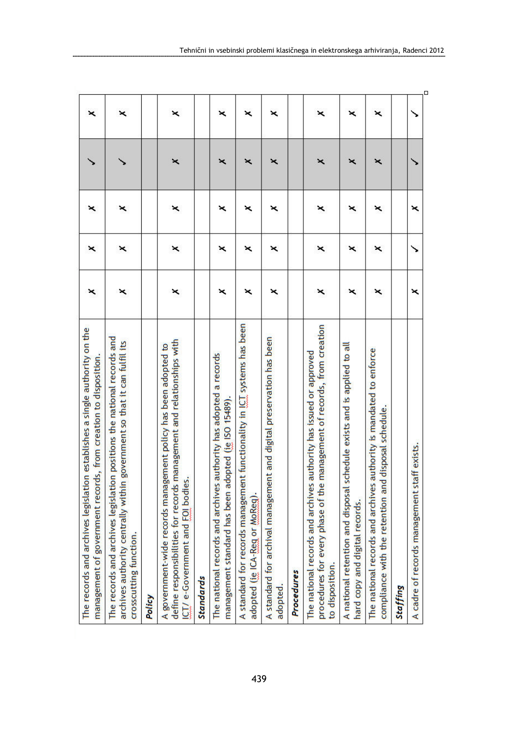| The records and archives legislation establishes a single authority on the<br>management of government records, from creation to disposition                                     | × | × | × |   | × |
|----------------------------------------------------------------------------------------------------------------------------------------------------------------------------------|---|---|---|---|---|
| The records and archives legislation positions the national records and<br>government so that it can fulfil its<br>archives authority centrally within<br>crosscutting function. | × | × | × |   | × |
| Policy                                                                                                                                                                           |   |   |   |   |   |
| define responsibilities for records management and relationships with<br>A government-wide records management policy has been adopted to<br>ICT/ e-Government and FOI bodies.    | × | × | × | × | × |
| <b>Standards</b>                                                                                                                                                                 |   |   |   |   |   |
| The national records and archives authority has adopted a records<br>management standard has been adopted (ie ISO 15489).                                                        | × | × | × | × | × |
| t functionality in ICT systems has been<br>A standard for records management<br>adopted (ie ICA-Reg or MoReg).                                                                   | × | × | × | × | × |
| A standard for archival management and digital preservation has been<br>adopted.                                                                                                 | × | × | × | × | × |
| Procedures                                                                                                                                                                       |   |   |   |   |   |
| procedures for every phase of the management of records, from creation<br>The national records and archives authority has issued or approved<br>to disposition.                  | × | × | × | × | × |
| A national retention and disposal schedule exists and is applied to all<br>hard copy and digital records.                                                                        | × | × | × | × | × |
| The national records and archives authority is mandated to enforce<br>disposal schedule.<br>compliance with the retention and                                                    | × | × | × | × | × |
| Staffing                                                                                                                                                                         |   |   |   |   |   |
| ff exists.<br>A cadre of records management sta                                                                                                                                  | × | ヽ | × |   |   |
|                                                                                                                                                                                  |   |   |   |   |   |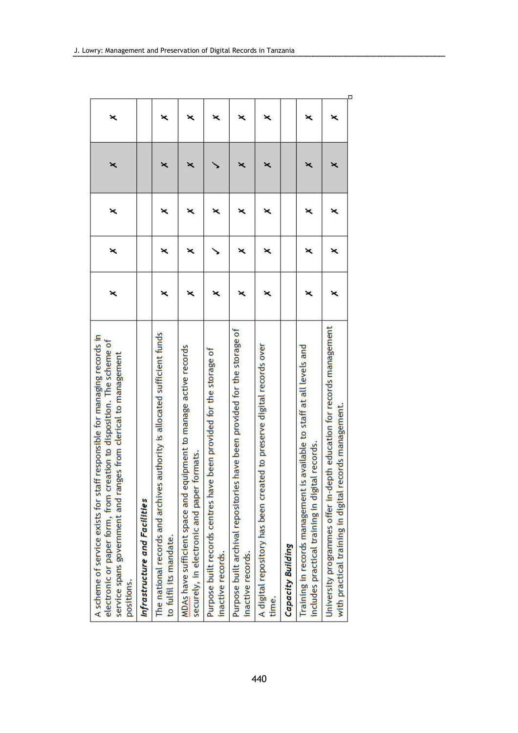| A scheme of service exists for staff responsible for managing records in<br>electronic or paper form, from creation to disposition. The scheme of<br>service spans government and ranges from clerical to management<br>positions. | × | × | × | × | × |
|------------------------------------------------------------------------------------------------------------------------------------------------------------------------------------------------------------------------------------|---|---|---|---|---|
| Infrastructure and Facilities                                                                                                                                                                                                      |   |   |   |   |   |
| authority is allocated sufficient funds<br>The national records and archives<br>to fulfil its mandate.                                                                                                                             |   | × | × | × | × |
| MDAs have sufficient space and equipment to manage active records<br>formats.<br>securely, in electronic and paper                                                                                                                 |   | × | × | × | × |
| Purpose built records centres have been provided for the storage of<br>inactive records.                                                                                                                                           |   |   | × |   | × |
| Purpose built archival repositories have been provided for the storage of<br>inactive records.                                                                                                                                     | × | × | × | × | × |
| A digital repository has been created to preserve digital records over<br>time.                                                                                                                                                    | × | × | × | × | × |
| Capacity Building                                                                                                                                                                                                                  |   |   |   |   |   |
| Training in records management is available to staff at all levels and<br>includes practical training in digital records.                                                                                                          |   | × | × | × | × |
| University programmes offer in-depth education for records management<br>with practical training in digital records management.                                                                                                    | × | × | × | × | × |

.................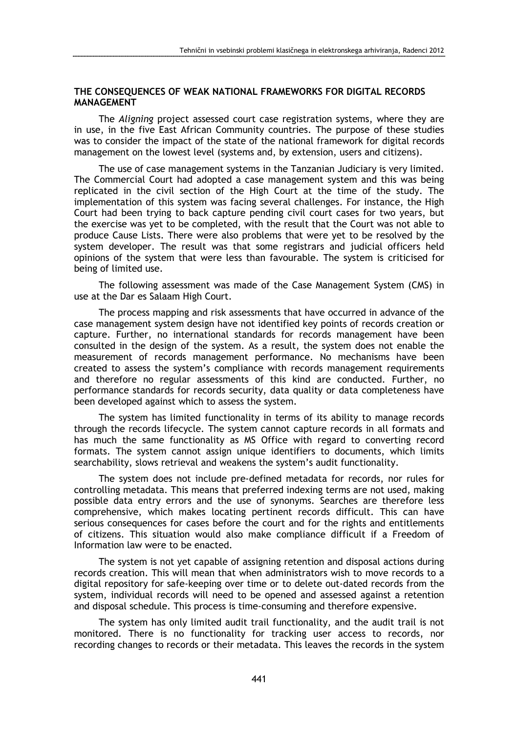### THE CONSEQUENCES OF WEAK NATIONAL FRAMEWORKS FOR DIGITAL RECORDS **MANAGEMENT**

The Aligning project assessed court case registration systems, where they are in use, in the five East African Community countries. The purpose of these studies was to consider the impact of the state of the national framework for digital records management on the lowest level (systems and, by extension, users and citizens).

The use of case management systems in the Tanzanian Judiciary is very limited. The Commercial Court had adopted a case management system and this was being replicated in the civil section of the High Court at the time of the study. The implementation of this system was facing several challenges. For instance, the High Court had been trying to back capture pending civil court cases for two years, but the exercise was yet to be completed, with the result that the Court was not able to produce Cause Lists. There were also problems that were yet to be resolved by the system developer. The result was that some registrars and judicial officers held opinions of the system that were less than favourable. The system is criticised for being of limited use.

The following assessment was made of the Case Management System (CMS) in use at the Dar es Salaam High Court.

The process mapping and risk assessments that have occurred in advance of the case management system design have not identified key points of records creation or capture. Further, no international standards for records management have been consulted in the design of the system. As a result, the system does not enable the measurement of records management performance. No mechanisms have been created to assess the system's compliance with records management requirements and therefore no regular assessments of this kind are conducted. Further, no performance standards for records security, data quality or data completeness have been developed against which to assess the system.

The system has limited functionality in terms of its ability to manage records through the records lifecycle. The system cannot capture records in all formats and has much the same functionality as MS Office with regard to converting record formats. The system cannot assign unique identifiers to documents, which limits searchability, slows retrieval and weakens the system's audit functionality.

The system does not include pre-defined metadata for records, nor rules for controlling metadata. This means that preferred indexing terms are not used, making possible data entry errors and the use of synonyms. Searches are therefore less comprehensive, which makes locating pertinent records difficult. This can have serious consequences for cases before the court and for the rights and entitlements of citizens. This situation would also make compliance difficult if a Freedom of Information law were to be enacted.

The system is not yet capable of assigning retention and disposal actions during records creation. This will mean that when administrators wish to move records to a digital repository for safe-keeping over time or to delete out-dated records from the system, individual records will need to be opened and assessed against a retention and disposal schedule. This process is time-consuming and therefore expensive.

The system has only limited audit trail functionality, and the audit trail is not monitored. There is no functionality for tracking user access to records, nor recording changes to records or their metadata. This leaves the records in the system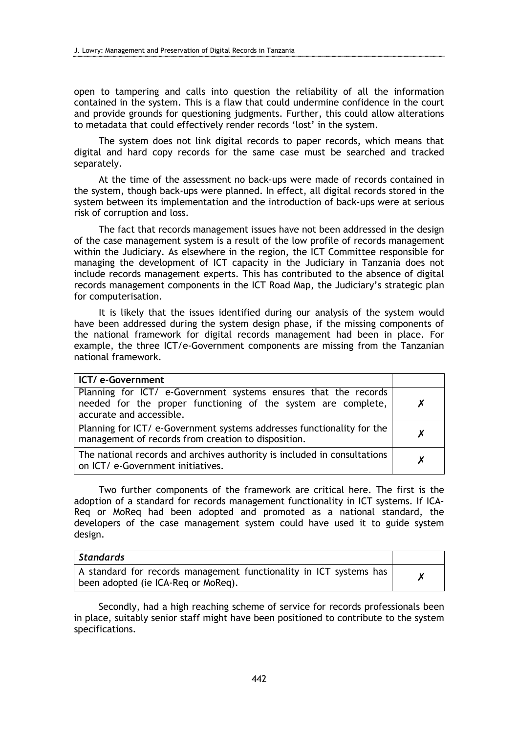open to tampering and calls into question the reliability of all the information contained in the system. This is a flaw that could undermine confidence in the court and provide grounds for questioning judgments. Further, this could allow alterations to metadata that could effectively render records 'lost' in the system.

The system does not link digital records to paper records, which means that digital and hard copy records for the same case must be searched and tracked separately.

At the time of the assessment no back-ups were made of records contained in the system, though back-ups were planned. In effect, all digital records stored in the system between its implementation and the introduction of back-ups were at serious risk of corruption and loss.

The fact that records management issues have not been addressed in the design of the case management system is a result of the low profile of records management within the Judiciary. As elsewhere in the region, the ICT Committee responsible for managing the development of ICT capacity in the Judiciary in Tanzania does not include records management experts. This has contributed to the absence of digital records management components in the ICT Road Map, the Judiciary's strategic plan for computerisation.

It is likely that the issues identified during our analysis of the system would have been addressed during the system design phase, if the missing components of the national framework for digital records management had been in place. For example, the three ICT/e-Government components are missing from the Tanzanian national framework.

| ICT/e-Government                                                                                                                                             |   |
|--------------------------------------------------------------------------------------------------------------------------------------------------------------|---|
| Planning for ICT/ e-Government systems ensures that the records<br>needed for the proper functioning of the system are complete,<br>accurate and accessible. | X |
| Planning for ICT/ e-Government systems addresses functionality for the<br>management of records from creation to disposition.                                | X |
| The national records and archives authority is included in consultations<br>on ICT/ e-Government initiatives.                                                |   |

Two further components of the framework are critical here. The first is the adoption of a standard for records management functionality in ICT systems. If ICA-Req or MoReq had been adopted and promoted as a national standard, the developers of the case management system could have used it to guide system design.

| <b>Standards</b>                                                                                          |  |
|-----------------------------------------------------------------------------------------------------------|--|
| A standard for records management functionality in ICT systems has<br>been adopted (ie ICA-Reg or MoReg). |  |

Secondly, had a high reaching scheme of service for records professionals been in place, suitably senior staff might have been positioned to contribute to the system specifications.